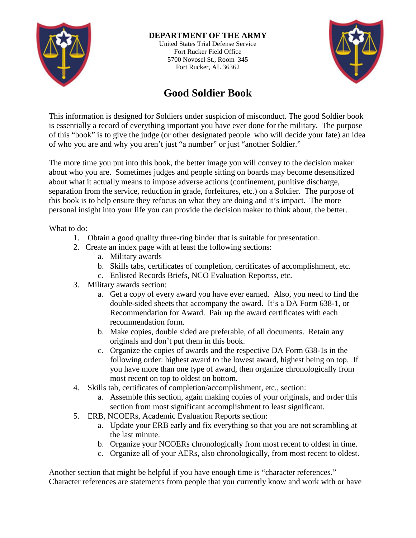

## **DEPARTMENT OF THE ARMY**

United States Trial Defense Service Fort Rucker Field Office 5700 Novosel St., Room 345 Fort Rucker, AL 36362



## **Good Soldier Book**

This information is designed for Soldiers under suspicion of misconduct. The good Soldier book is essentially a record of everything important you have ever done for the military. The purpose of this "book" is to give the judge (or other designated people who will decide your fate) an idea of who you are and why you aren't just "a number" or just "another Soldier."

The more time you put into this book, the better image you will convey to the decision maker about who you are. Sometimes judges and people sitting on boards may become desensitized about what it actually means to impose adverse actions (confinement, punitive discharge, separation from the service, reduction in grade, forfeitures, etc.) on a Soldier. The purpose of this book is to help ensure they refocus on what they are doing and it's impact. The more personal insight into your life you can provide the decision maker to think about, the better.

What to do:

- 1. Obtain a good quality three-ring binder that is suitable for presentation.
- 2. Create an index page with at least the following sections:
	- a. Military awards
	- b. Skills tabs, certificates of completion, certificates of accomplishment, etc.
	- c. Enlisted Records Briefs, NCO Evaluation Reportss, etc.
- 3. Military awards section:
	- a. Get a copy of every award you have ever earned. Also, you need to find the double-sided sheets that accompany the award. It's a DA Form 638-1, or Recommendation for Award. Pair up the award certificates with each recommendation form.
	- b. Make copies, double sided are preferable, of all documents. Retain any originals and don't put them in this book.
	- c. Organize the copies of awards and the respective DA Form 638-1s in the following order: highest award to the lowest award, highest being on top. If you have more than one type of award, then organize chronologically from most recent on top to oldest on bottom.
- 4. Skills tab, certificates of completion/accomplishment, etc., section:
	- a. Assemble this section, again making copies of your originals, and order this section from most significant accomplishment to least significant.
- 5. ERB, NCOERs, Academic Evaluation Reports section:
	- a. Update your ERB early and fix everything so that you are not scrambling at the last minute.
	- b. Organize your NCOERs chronologically from most recent to oldest in time.
	- c. Organize all of your AERs, also chronologically, from most recent to oldest.

Another section that might be helpful if you have enough time is "character references." Character references are statements from people that you currently know and work with or have